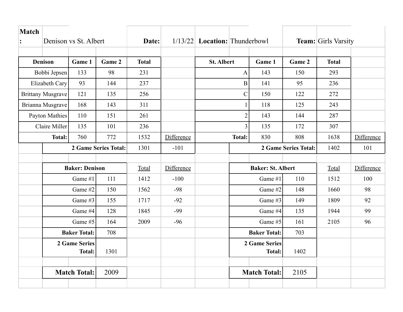| Match<br>Denison vs St. Albert |                          | Date:               |        |              | $1/13/22$ Location: Thunderbowl |                   | <b>Team:</b> Girls Varsity |                      |                             |              |            |
|--------------------------------|--------------------------|---------------------|--------|--------------|---------------------------------|-------------------|----------------------------|----------------------|-----------------------------|--------------|------------|
|                                |                          |                     |        |              |                                 |                   |                            |                      |                             |              |            |
|                                | <b>Denison</b>           | Game 1              | Game 2 | <b>Total</b> |                                 | <b>St. Albert</b> |                            | Game 1               | Game 2                      | <b>Total</b> |            |
|                                | Bobbi Jepsen             |                     | 98     | 231          |                                 | $\mathbf{A}$      |                            | 143                  | 150                         | 293          |            |
| Elizabeth Cary                 |                          | 93                  | 144    | 237          |                                 | $\mathbf{B}$      |                            | 141                  | 95                          | 236          |            |
|                                | <b>Brittany Musgrave</b> | 121                 | 135    | 256          |                                 | $\mathcal{C}$     |                            | 150                  | 122                         | 272          |            |
|                                | Brianna Musgrave         | 168                 | 143    | 311          |                                 |                   | 1                          | 118                  | 125                         | 243          |            |
|                                | <b>Payton Mathies</b>    | 110                 | 151    | 261          |                                 |                   | $\overline{2}$             | 143                  | 144                         | 287          |            |
|                                | Claire Miller            | 135                 | 101    | 236          |                                 |                   | $\overline{3}$             | 135                  | 172                         | 307          |            |
| <b>Total:</b>                  |                          | 760                 | 772    | 1532         | Difference                      |                   | <b>Total:</b>              | 830                  | 808                         | 1638         | Difference |
|                                | 2 Game Series Total:     |                     |        | 1301         | $-101$                          |                   |                            |                      | <b>2 Game Series Total:</b> | 1402         | 101        |
|                                |                          |                     |        |              |                                 |                   |                            |                      |                             |              |            |
| <b>Baker: Denison</b>          |                          |                     | Total  | Difference   |                                 |                   | <b>Baker: St. Albert</b>   |                      | Total                       | Difference   |            |
|                                | Game #1                  |                     | 111    | 1412         | $-100$                          |                   | Game #1                    |                      | 110                         | 1512         | 100        |
|                                |                          | Game #2             | 150    | 1562         | $-98$                           |                   | Game #2                    |                      | 148                         | 1660         | 98         |
|                                |                          | Game #3             | 155    | 1717         | $-92$                           |                   | Game #3                    |                      | 149                         | 1809         | 92         |
|                                |                          | Game #4             | 128    | 1845         | $-99$                           |                   | Game #4                    |                      | 135                         | 1944         | 99         |
|                                | Game #5                  |                     | 164    | 2009         | $-96$                           |                   | Game #5                    |                      | 161                         | 2105         | 96         |
|                                | <b>Baker Total:</b>      |                     | 708    |              |                                 |                   | <b>Baker Total:</b>        |                      | 703                         |              |            |
| 2 Game Series                  |                          |                     |        |              |                                 |                   |                            | <b>2 Game Series</b> |                             |              |            |
|                                | <b>Total:</b>            |                     | 1301   |              |                                 |                   |                            | <b>Total:</b>        | 1402                        |              |            |
|                                |                          |                     |        |              |                                 |                   |                            |                      |                             |              |            |
|                                |                          | <b>Match Total:</b> | 2009   |              |                                 |                   |                            | <b>Match Total:</b>  | 2105                        |              |            |
|                                |                          |                     |        |              |                                 |                   |                            |                      |                             |              |            |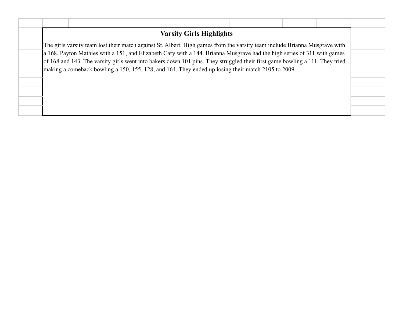|  |  |  | <b>Varsity Girls Highlights</b>                                                                                             |  |  |  |
|--|--|--|-----------------------------------------------------------------------------------------------------------------------------|--|--|--|
|  |  |  | The girls varsity team lost their match against St. Albert. High games from the varsity team include Brianna Musgrave with  |  |  |  |
|  |  |  | a 168, Payton Mathies with a 151, and Elizabeth Cary with a 144. Brianna Musgrave had the high series of 311 with games     |  |  |  |
|  |  |  | of 168 and 143. The varsity girls went into bakers down 101 pins. They struggled their first game bowling a 111. They tried |  |  |  |
|  |  |  | making a comeback bowling a 150, 155, 128, and 164. They ended up losing their match 2105 to 2009.                          |  |  |  |
|  |  |  |                                                                                                                             |  |  |  |
|  |  |  |                                                                                                                             |  |  |  |
|  |  |  |                                                                                                                             |  |  |  |
|  |  |  |                                                                                                                             |  |  |  |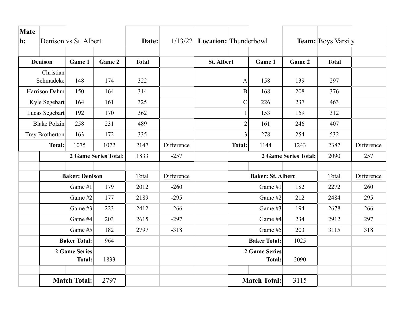| Matc<br>h:          |                                | Denison vs St. Albert |                             | Date:        |            | $1/13/22$ <b>Location:</b> Thunderbowl |                     |                                       |                      | <b>Team:</b> Boys Varsity |            |
|---------------------|--------------------------------|-----------------------|-----------------------------|--------------|------------|----------------------------------------|---------------------|---------------------------------------|----------------------|---------------------------|------------|
|                     |                                |                       |                             |              |            |                                        |                     |                                       |                      |                           |            |
|                     | <b>Denison</b>                 | Game 1                | Game 2                      | <b>Total</b> |            | <b>St. Albert</b>                      |                     | Game 1                                | Game 2               | <b>Total</b>              |            |
|                     | Christian<br>Schmadeke         | 148                   | 174                         | 322          |            |                                        | $\mathbf{A}$        | 158                                   | 139                  | 297                       |            |
|                     | Harrison Dahm                  | 150                   | 164                         | 314          |            |                                        | $\mathbf B$         | 168                                   | 208                  | 376                       |            |
|                     | Kyle Segebart                  | 164                   | 161                         | 325          |            |                                        | $\mathbf C$         | 226                                   | 237                  | 463                       |            |
|                     | Lucas Segebart                 | 192                   | 170                         | 362          |            |                                        | $\mathbf{1}$        | 153                                   | 159                  | 312                       |            |
|                     | <b>Blake Polzin</b>            | 258                   | 231                         | 489          |            |                                        | $\overline{2}$      | 161                                   | 246                  | 407                       |            |
|                     | Trey Brotherton                | 163                   | 172                         | 335          |            | 3 <sup>1</sup>                         |                     | 278                                   | 254                  | 532                       |            |
| <b>Total:</b>       |                                | 1075                  | 1072                        | 2147         | Difference |                                        | <b>Total:</b>       | 1144                                  | 1243                 | 2387                      | Difference |
|                     |                                |                       | <b>2 Game Series Total:</b> | 1833         | $-257$     |                                        |                     |                                       | 2 Game Series Total: | 2090                      | 257        |
|                     |                                |                       |                             |              |            |                                        |                     |                                       |                      |                           |            |
|                     | <b>Baker: Denison</b>          |                       | Total                       | Difference   |            | <b>Baker: St. Albert</b>               |                     |                                       | Total                | Difference                |            |
|                     |                                | Game #1               | 179                         | 2012         | $-260$     |                                        | Game #1             |                                       | 182                  | 2272                      | 260        |
|                     |                                | Game #2               | 177                         | 2189         | $-295$     |                                        |                     | Game #2                               | 212                  | 2484                      | 295        |
|                     |                                | Game #3               | 223                         | 2412         | $-266$     |                                        | Game #3             |                                       | 194                  | 2678                      | 266        |
|                     | Game #4                        |                       | 203                         | 2615         | $-297$     |                                        | Game #4             |                                       | 234                  | 2912                      | 297        |
|                     |                                | Game #5               | 182                         | 2797         | $-318$     |                                        | Game #5             |                                       | 203                  | 3115                      | 318        |
| <b>Baker Total:</b> |                                | 964                   |                             |              |            |                                        | <b>Baker Total:</b> | 1025                                  |                      |                           |            |
|                     | 2 Game Series<br><b>Total:</b> |                       | 1833                        |              |            |                                        |                     | <b>2 Game Series</b><br><b>Total:</b> | 2090                 |                           |            |
|                     |                                |                       |                             |              |            |                                        |                     |                                       |                      |                           |            |
|                     | <b>Match Total:</b>            |                       | 2797                        |              |            |                                        |                     | <b>Match Total:</b>                   | 3115                 |                           |            |